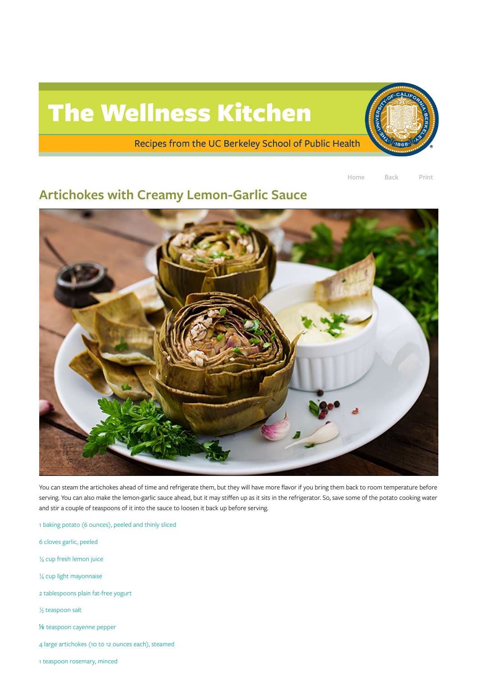## The Wellness Kitchen

Recipes from the UC Berkeley School of Public Health

Home Back Print

## Artichokes with Creamy Lemon-Garlic Sauce



You can steam the artichokes ahead of time and refrigerate them, but they will have more flavor if you bring them back to room temperature before serving. You can also make the lemon-garlic sauce ahead, but it may stiffen up as it sits in the refrigerator. So, save some of the potato cooking water and stir a couple of teaspoons of it into the sauce to loosen it back up before serving.

1 baking potato (6 ounces), peeled and thinly sliced

6 cloves garlic, peeled

¼ cup fresh lemon juice

¼ cup light mayonnaise

2 tablespoons plain fat-free yogurt

½ teaspoon salt

⅛ teaspoon cayenne pepper

4 large artichokes (10 to 12 ounces each), steamed

1 teaspoon rosemary, minced